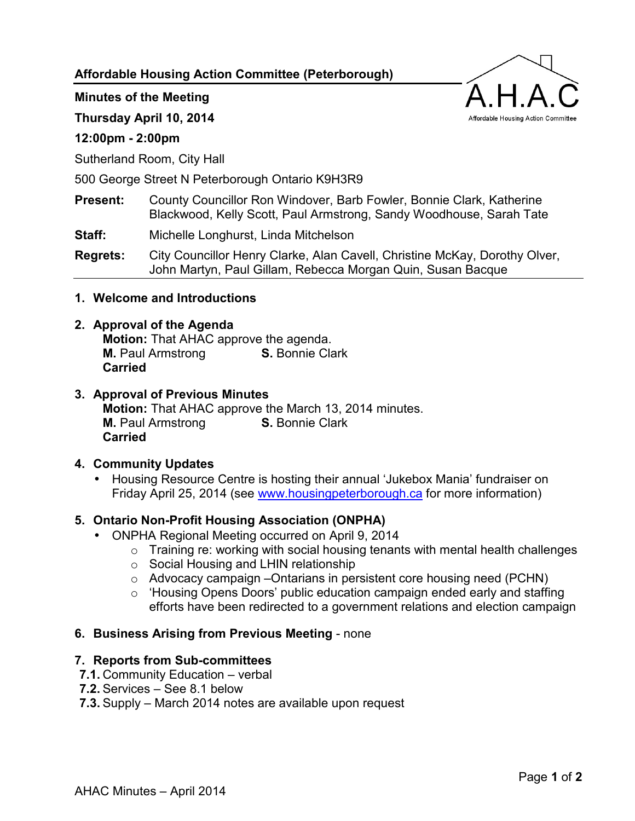# **Affordable Housing Action Committee (Peterborough)**

#### **Minutes of the Meeting**

**Thursday April 10, 2014** 

### **12:00pm - 2:00pm**

Sutherland Room, City Hall

500 George Street N Peterborough Ontario K9H3R9

## **Present:** County Councillor Ron Windover, Barb Fowler, Bonnie Clark, Katherine Blackwood, Kelly Scott, Paul Armstrong, Sandy Woodhouse, Sarah Tate

**Staff:** Michelle Longhurst, Linda Mitchelson

**Regrets:** City Councillor Henry Clarke, Alan Cavell, Christine McKay, Dorothy Olver, John Martyn, Paul Gillam, Rebecca Morgan Quin, Susan Bacque

#### **1. Welcome and Introductions**

#### **2. Approval of the Agenda**

**Motion:** That AHAC approve the agenda. **M.** Paul Armstrong **S.** Bonnie Clark **Carried**

#### **3. Approval of Previous Minutes Motion:** That AHAC approve the March 13, 2014 minutes. **M.** Paul Armstrong **S.** Bonnie Clark **Carried**

#### **4. Community Updates**

• Housing Resource Centre is hosting their annual 'Jukebox Mania' fundraiser on Friday April 25, 2014 (see [www.housingpeterborough.ca f](http://www.housingpeterborough.ca/)or more information)

#### **5. Ontario Non-Profit Housing Association (ONPHA)**

- ONPHA Regional Meeting occurred on April 9, 2014
	- $\circ$  Training re: working with social housing tenants with mental health challenges
	- o Social Housing and LHIN relationship
	- $\circ$  Advocacy campaign –Ontarians in persistent core housing need (PCHN)
	- o 'Housing Opens Doors' public education campaign ended early and staffing efforts have been redirected to a government relations and election campaign

#### **6. Business Arising from Previous Meeting** - none

#### **7. Reports from Sub-committees**

- **7.1.** Community Education verbal
- **7.2.** Services See 8.1 below
- **7.3.** Supply March 2014 notes are available upon request